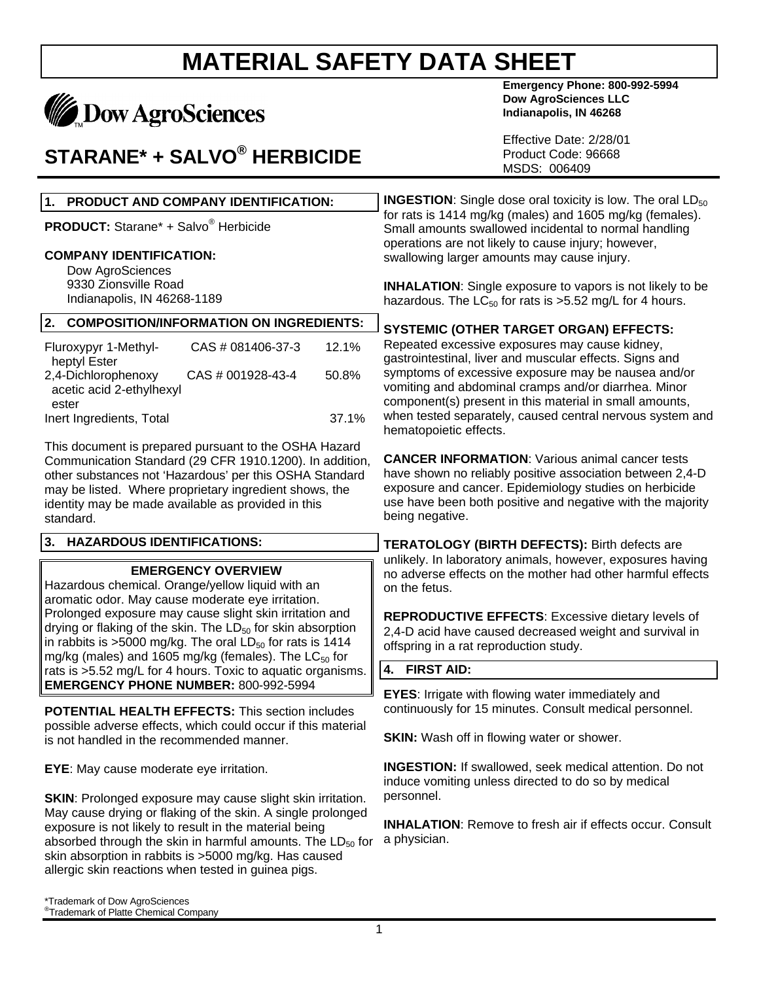

### **STARANE\* + SALVO® HERBICIDE**

**Emergency Phone: 800-992-5994 Dow AgroSciences LLC Indianapolis, IN 46268**

Effective Date: 2/28/01 Product Code: 96668 MSDS: 006409

| 1. PRODUCT AND COMPANY IDENTIFICATION:                                                                                                                                                                                                                                                                   | <b>INGESTION:</b> Single dose oral toxicity is low. The oral $LD_{50}$                                                                                                                                                                                         |  |
|----------------------------------------------------------------------------------------------------------------------------------------------------------------------------------------------------------------------------------------------------------------------------------------------------------|----------------------------------------------------------------------------------------------------------------------------------------------------------------------------------------------------------------------------------------------------------------|--|
| <b>PRODUCT:</b> Starane* + Salvo <sup>®</sup> Herbicide                                                                                                                                                                                                                                                  | for rats is 1414 mg/kg (males) and 1605 mg/kg (females).<br>Small amounts swallowed incidental to normal handling<br>operations are not likely to cause injury; however,<br>swallowing larger amounts may cause injury.                                        |  |
| <b>COMPANY IDENTIFICATION:</b>                                                                                                                                                                                                                                                                           |                                                                                                                                                                                                                                                                |  |
| Dow AgroSciences<br>9330 Zionsville Road<br>Indianapolis, IN 46268-1189                                                                                                                                                                                                                                  | <b>INHALATION:</b> Single exposure to vapors is not likely to be<br>hazardous. The $LC_{50}$ for rats is >5.52 mg/L for 4 hours.                                                                                                                               |  |
| 2.<br><b>COMPOSITION/INFORMATION ON INGREDIENTS:</b>                                                                                                                                                                                                                                                     | <b>SYSTEMIC (OTHER TARGET ORGAN) EFFECTS:</b>                                                                                                                                                                                                                  |  |
| Fluroxypyr 1-Methyl-<br>CAS # 081406-37-3<br>12.1%<br>heptyl Ester                                                                                                                                                                                                                                       | Repeated excessive exposures may cause kidney,<br>gastrointestinal, liver and muscular effects. Signs and                                                                                                                                                      |  |
| 2,4-Dichlorophenoxy<br>CAS # 001928-43-4<br>50.8%<br>acetic acid 2-ethylhexyl<br>ester                                                                                                                                                                                                                   | symptoms of excessive exposure may be nausea and/or<br>vomiting and abdominal cramps and/or diarrhea. Minor<br>component(s) present in this material in small amounts,                                                                                         |  |
| 37.1%<br>Inert Ingredients, Total                                                                                                                                                                                                                                                                        | when tested separately, caused central nervous system and<br>hematopoietic effects.                                                                                                                                                                            |  |
| This document is prepared pursuant to the OSHA Hazard<br>Communication Standard (29 CFR 1910.1200). In addition,<br>other substances not 'Hazardous' per this OSHA Standard<br>may be listed. Where proprietary ingredient shows, the<br>identity may be made available as provided in this<br>standard. | <b>CANCER INFORMATION:</b> Various animal cancer tests<br>have shown no reliably positive association between 2,4-D<br>exposure and cancer. Epidemiology studies on herbicide<br>use have been both positive and negative with the majority<br>being negative. |  |
| 3. HAZARDOUS IDENTIFICATIONS:                                                                                                                                                                                                                                                                            | <b>TERATOLOGY (BIRTH DEFECTS): Birth defects are</b><br>unlikely. In laboratory animals, however, exposures having<br>no adverse effects on the mother had other harmful effects<br>on the fetus.                                                              |  |
| <b>EMERGENCY OVERVIEW</b><br>Hazardous chemical. Orange/yellow liquid with an<br>aromatic odor. May cause moderate eye irritation.                                                                                                                                                                       |                                                                                                                                                                                                                                                                |  |
| Prolonged exposure may cause slight skin irritation and<br>drying or flaking of the skin. The LD <sub>50</sub> for skin absorption<br>in rabbits is >5000 mg/kg. The oral $LD_{50}$ for rats is 1414<br>mg/kg (males) and 1605 mg/kg (females). The LC <sub>50</sub> for                                 | <b>REPRODUCTIVE EFFECTS:</b> Excessive dietary levels of<br>2,4-D acid have caused decreased weight and survival in<br>offspring in a rat reproduction study.                                                                                                  |  |
| rats is >5.52 mg/L for 4 hours. Toxic to aquatic organisms.                                                                                                                                                                                                                                              | 4. FIRST AID:                                                                                                                                                                                                                                                  |  |
| <b>EMERGENCY PHONE NUMBER: 800-992-5994</b><br><b>POTENTIAL HEALTH EFFECTS: This section includes</b>                                                                                                                                                                                                    | <b>EYES:</b> Irrigate with flowing water immediately and<br>continuously for 15 minutes. Consult medical personnel.                                                                                                                                            |  |
| possible adverse effects, which could occur if this material<br>is not handled in the recommended manner.                                                                                                                                                                                                | <b>SKIN:</b> Wash off in flowing water or shower.                                                                                                                                                                                                              |  |
| <b>EYE:</b> May cause moderate eye irritation.                                                                                                                                                                                                                                                           | <b>INGESTION:</b> If swallowed, seek medical attention. Do not<br>induce vomiting unless directed to do so by medical<br>personnel.                                                                                                                            |  |
| <b>SKIN:</b> Prolonged exposure may cause slight skin irritation.<br>May cause drying or flaking of the skin. A single prolonged                                                                                                                                                                         |                                                                                                                                                                                                                                                                |  |
| exposure is not likely to result in the material being<br>absorbed through the skin in harmful amounts. The $LD_{50}$ for<br>skin absorption in rabbits is >5000 mg/kg. Has caused                                                                                                                       | <b>INHALATION:</b> Remove to fresh air if effects occur. Consult<br>a physician.                                                                                                                                                                               |  |

allergic skin reactions when tested in guinea pigs.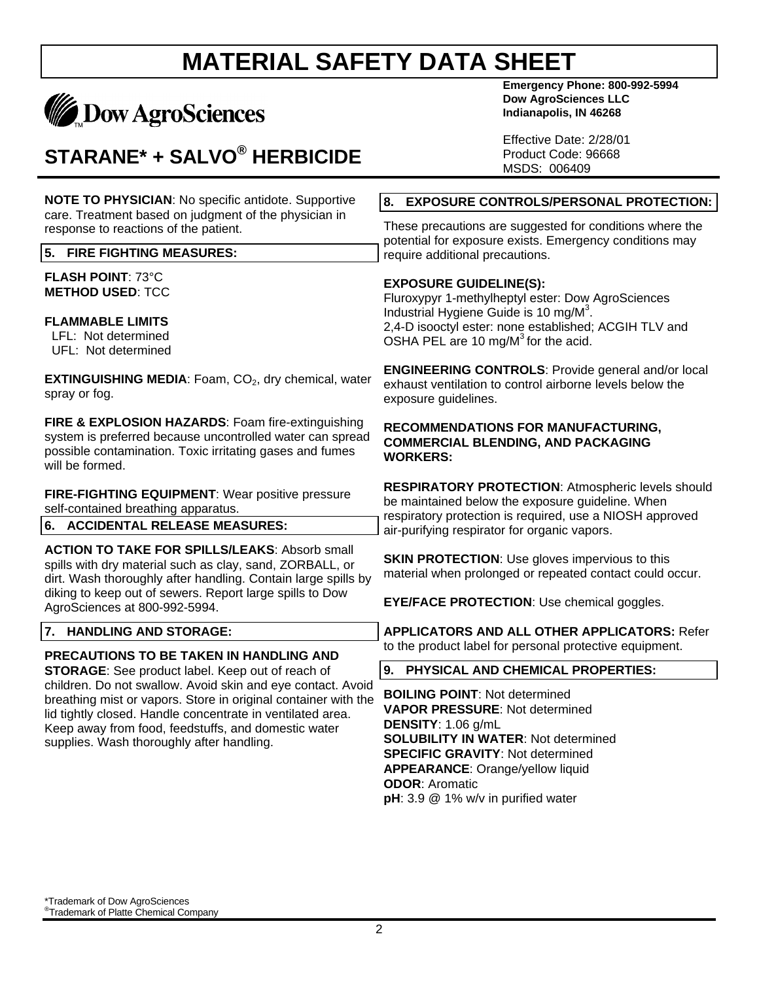

## **STARANE\* + SALVO® HERBICIDE**

**Emergency Phone: 800-992-5994 Dow AgroSciences LLC Indianapolis, IN 46268**

Effective Date: 2/28/01 Product Code: 96668 MSDS: 006409

#### **8. EXPOSURE CONTROLS/PERSONAL PROTECTION:**

These precautions are suggested for conditions where the potential for exposure exists. Emergency conditions may require additional precautions.

#### **EXPOSURE GUIDELINE(S):**

Fluroxypyr 1-methylheptyl ester: Dow AgroSciences Industrial Hygiene Guide is 10 mg/M<sup>3</sup>. 2,4-D isooctyl ester: none established; ACGIH TLV and OSHA PEL are 10 mg/ $M<sup>3</sup>$  for the acid.

**ENGINEERING CONTROLS**: Provide general and/or local exhaust ventilation to control airborne levels below the exposure guidelines.

#### **RECOMMENDATIONS FOR MANUFACTURING, COMMERCIAL BLENDING, AND PACKAGING WORKERS:**

**RESPIRATORY PROTECTION**: Atmospheric levels should be maintained below the exposure guideline. When respiratory protection is required, use a NIOSH approved air-purifying respirator for organic vapors.

**SKIN PROTECTION: Use gloves impervious to this** material when prolonged or repeated contact could occur.

**EYE/FACE PROTECTION**: Use chemical goggles.

**APPLICATORS AND ALL OTHER APPLICATORS:** Refer to the product label for personal protective equipment.

#### **9. PHYSICAL AND CHEMICAL PROPERTIES:**

**BOILING POINT**: Not determined **VAPOR PRESSURE**: Not determined **DENSITY**: 1.06 g/mL **SOLUBILITY IN WATER**: Not determined **SPECIFIC GRAVITY**: Not determined **APPEARANCE**: Orange/yellow liquid **ODOR**: Aromatic **pH**: 3.9 @ 1% w/v in purified water

**NOTE TO PHYSICIAN**: No specific antidote. Supportive care. Treatment based on judgment of the physician in response to reactions of the patient.

#### **5. FIRE FIGHTING MEASURES:**

**FLASH POINT**: 73°C **METHOD USED**: TCC

#### **FLAMMABLE LIMITS**

 LFL: Not determined UFL: Not determined

**EXTINGUISHING MEDIA:** Foam, CO<sub>2</sub>, dry chemical, water spray or fog.

**FIRE & EXPLOSION HAZARDS**: Foam fire-extinguishing system is preferred because uncontrolled water can spread possible contamination. Toxic irritating gases and fumes will be formed.

**FIRE-FIGHTING EQUIPMENT**: Wear positive pressure self-contained breathing apparatus.

**6. ACCIDENTAL RELEASE MEASURES:**

**ACTION TO TAKE FOR SPILLS/LEAKS**: Absorb small spills with dry material such as clay, sand, ZORBALL, or dirt. Wash thoroughly after handling. Contain large spills by diking to keep out of sewers. Report large spills to Dow AgroSciences at 800-992-5994.

#### **7. HANDLING AND STORAGE:**

#### **PRECAUTIONS TO BE TAKEN IN HANDLING AND**

**STORAGE**: See product label. Keep out of reach of children. Do not swallow. Avoid skin and eye contact. Avoid breathing mist or vapors. Store in original container with the lid tightly closed. Handle concentrate in ventilated area. Keep away from food, feedstuffs, and domestic water supplies. Wash thoroughly after handling.

\*Trademark of Dow AgroSciences ® Trademark of Platte Chemical Company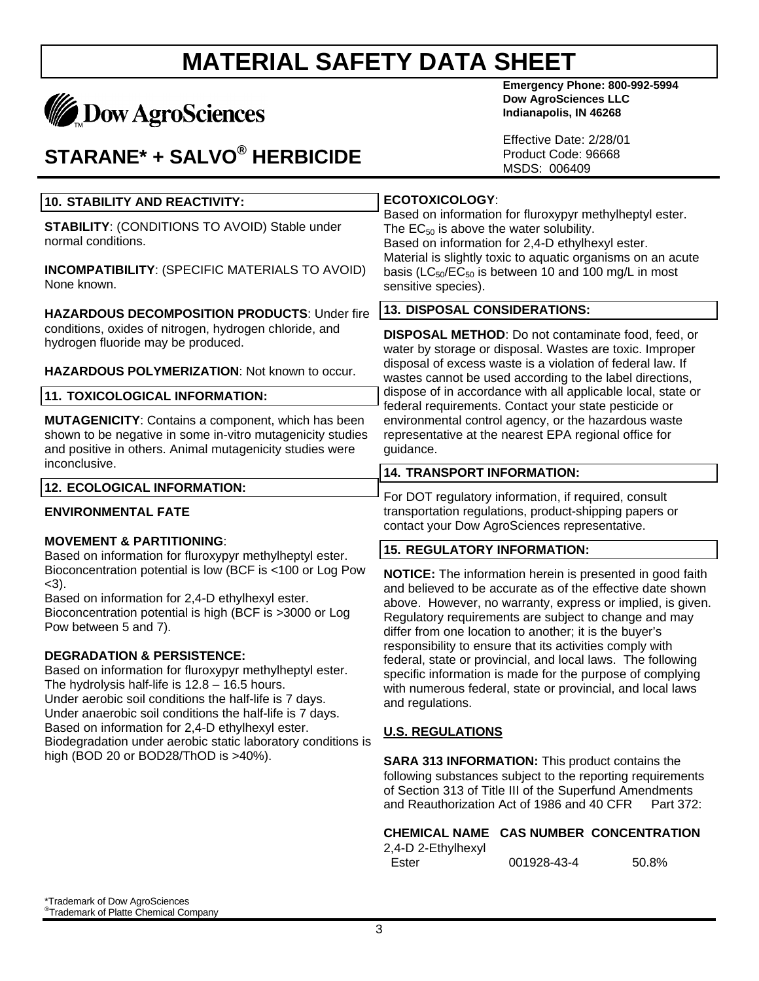# **MADOW AgroSciences**

## **STARANE\* + SALVO® HERBICIDE**

**Emergency Phone: 800-992-5994 Dow AgroSciences LLC Indianapolis, IN 46268**

Effective Date: 2/28/01 Product Code: 96668 MSDS: 006409

| Based on information for fluroxypyr methylheptyl ester.<br>The $EC_{50}$ is above the water solubility.<br>Based on information for 2,4-D ethylhexyl ester.<br>Material is slightly toxic to aquatic organisms on an acute<br>basis ( $LC_{50}/EC_{50}$ is between 10 and 100 mg/L in most<br>sensitive species).                                                                                                                                                                                                                                                                                                                                                                                                                                                                                                                                                                                                                  |                                                                                                                       |
|------------------------------------------------------------------------------------------------------------------------------------------------------------------------------------------------------------------------------------------------------------------------------------------------------------------------------------------------------------------------------------------------------------------------------------------------------------------------------------------------------------------------------------------------------------------------------------------------------------------------------------------------------------------------------------------------------------------------------------------------------------------------------------------------------------------------------------------------------------------------------------------------------------------------------------|-----------------------------------------------------------------------------------------------------------------------|
|                                                                                                                                                                                                                                                                                                                                                                                                                                                                                                                                                                                                                                                                                                                                                                                                                                                                                                                                    |                                                                                                                       |
| <b>DISPOSAL METHOD:</b> Do not contaminate food, feed, or<br>water by storage or disposal. Wastes are toxic. Improper<br>disposal of excess waste is a violation of federal law. If<br>wastes cannot be used according to the label directions,                                                                                                                                                                                                                                                                                                                                                                                                                                                                                                                                                                                                                                                                                    |                                                                                                                       |
|                                                                                                                                                                                                                                                                                                                                                                                                                                                                                                                                                                                                                                                                                                                                                                                                                                                                                                                                    | dispose of in accordance with all applicable local, state or<br>federal requirements. Contact your state pesticide or |
| environmental control agency, or the hazardous waste<br>representative at the nearest EPA regional office for<br>guidance.                                                                                                                                                                                                                                                                                                                                                                                                                                                                                                                                                                                                                                                                                                                                                                                                         |                                                                                                                       |
| <b>14. TRANSPORT INFORMATION:</b>                                                                                                                                                                                                                                                                                                                                                                                                                                                                                                                                                                                                                                                                                                                                                                                                                                                                                                  |                                                                                                                       |
| For DOT regulatory information, if required, consult<br>transportation regulations, product-shipping papers or<br>contact your Dow AgroSciences representative.                                                                                                                                                                                                                                                                                                                                                                                                                                                                                                                                                                                                                                                                                                                                                                    |                                                                                                                       |
|                                                                                                                                                                                                                                                                                                                                                                                                                                                                                                                                                                                                                                                                                                                                                                                                                                                                                                                                    |                                                                                                                       |
| <b>NOTICE:</b> The information herein is presented in good faith<br>and believed to be accurate as of the effective date shown<br>above. However, no warranty, express or implied, is given.<br>Regulatory requirements are subject to change and may<br>differ from one location to another; it is the buyer's<br>responsibility to ensure that its activities comply with<br>federal, state or provincial, and local laws. The following<br>specific information is made for the purpose of complying<br>with numerous federal, state or provincial, and local laws<br>and regulations.<br><b>U.S. REGULATIONS</b><br><b>SARA 313 INFORMATION:</b> This product contains the<br>following substances subject to the reporting requirements<br>of Section 313 of Title III of the Superfund Amendments<br>and Reauthorization Act of 1986 and 40 CFR<br>Part 372:<br>CHEMICAL NAME CAS NUMBER CONCENTRATION<br>2,4-D 2-Ethylhexyl |                                                                                                                       |
|                                                                                                                                                                                                                                                                                                                                                                                                                                                                                                                                                                                                                                                                                                                                                                                                                                                                                                                                    |                                                                                                                       |

Ester 001928-43-4 50.8%